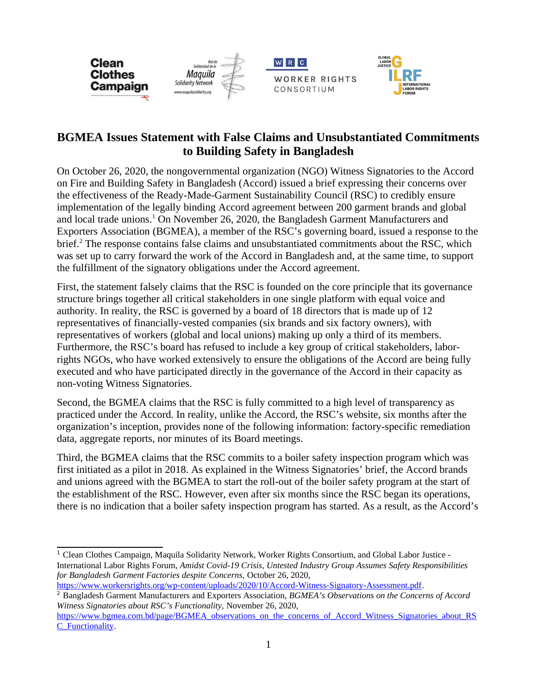





## **BGMEA Issues Statement with False Claims and Unsubstantiated Commitments to Building Safety in Bangladesh**

On October 26, 2020, the nongovernmental organization (NGO) Witness Signatories to the Accord on Fire and Building Safety in Bangladesh (Accord) issued a brief expressing their concerns over the effectiveness of the Ready-Made-Garment Sustainability Council (RSC) to credibly ensure implementation of the legally binding Accord agreement between 200 garment brands and global and local trade unions.<sup>[1](#page-0-0)</sup> On November 26, 2020, the Bangladesh Garment Manufacturers and Exporters Association (BGMEA), a member of the RSC's governing board, issued a response to the brief.<sup>[2](#page-0-1)</sup> The response contains false claims and unsubstantiated commitments about the RSC, which was set up to carry forward the work of the Accord in Bangladesh and, at the same time, to support the fulfillment of the signatory obligations under the Accord agreement.

First, the statement falsely claims that the RSC is founded on the core principle that its governance structure brings together all critical stakeholders in one single platform with equal voice and authority. In reality, the RSC is governed by a board of 18 directors that is made up of 12 representatives of financially-vested companies (six brands and six factory owners), with representatives of workers (global and local unions) making up only a third of its members. Furthermore, the RSC's board has refused to include a key group of critical stakeholders, laborrights NGOs, who have worked extensively to ensure the obligations of the Accord are being fully executed and who have participated directly in the governance of the Accord in their capacity as non-voting Witness Signatories.

Second, the BGMEA claims that the RSC is fully committed to a high level of transparency as practiced under the Accord. In reality, unlike the Accord, the RSC's website, six months after the organization's inception, provides none of the following information: factory-specific remediation data, aggregate reports, nor minutes of its Board meetings.

Third, the BGMEA claims that the RSC commits to a boiler safety inspection program which was first initiated as a pilot in 2018. As explained in the Witness Signatories' brief, the Accord brands and unions agreed with the BGMEA to start the roll-out of the boiler safety program at the start of the establishment of the RSC. However, even after six months since the RSC began its operations, there is no indication that a boiler safety inspection program has started. As a result, as the Accord's

<span id="page-0-0"></span><sup>&</sup>lt;sup>1</sup> Clean Clothes Campaign, Maquila Solidarity Network, Worker Rights Consortium, and Global Labor Justice -International Labor Rights Forum, *Amidst Covid-19 Crisis*, *Untested Industry Group Assumes Safety Responsibilities for Bangladesh Garment Factories despite Concerns,* October 26, 2020, <https://www.workersrights.org/wp-content/uploads/2020/10/Accord-Witness-Signatory-Assessment.pdf>.

<span id="page-0-1"></span><sup>2</sup> Bangladesh Garment Manufacturers and Exporters Association, *BGMEA's Observations on the Concerns of Accord Witness Signatories about RSC's Functionality,* November 26, 2020,

[https://www.bgmea.com.bd/page/BGMEA\\_observations\\_on\\_the\\_concerns\\_of\\_Accord\\_Witness\\_Signatories\\_about\\_RS](https://www.bgmea.com.bd/page/BGMEA_observations_on_the_concerns_of_Accord_Witness_Signatories_about_RSC_Functionality) [C\\_Functionality.](https://www.bgmea.com.bd/page/BGMEA_observations_on_the_concerns_of_Accord_Witness_Signatories_about_RSC_Functionality)